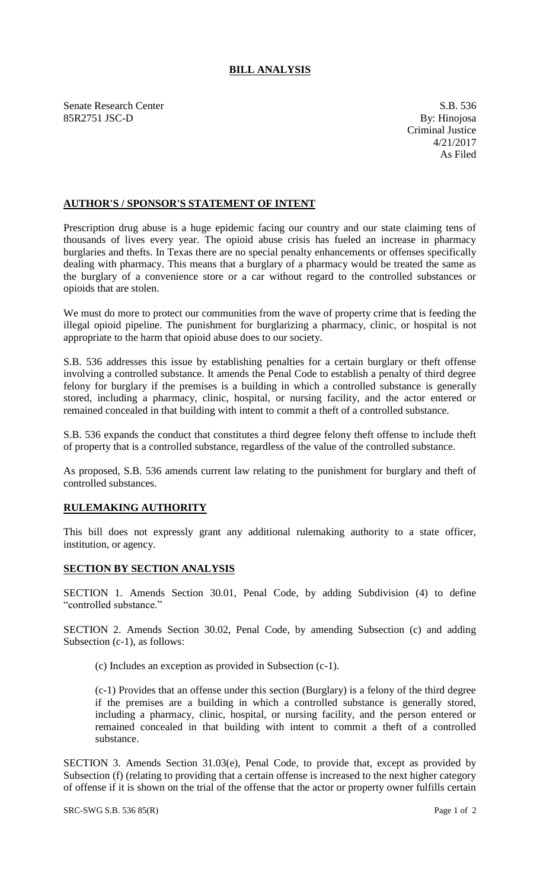## **BILL ANALYSIS**

Senate Research Center S.B. 536 85R2751 JSC-D By: Hinojosa

Criminal Justice 4/21/2017 As Filed

## **AUTHOR'S / SPONSOR'S STATEMENT OF INTENT**

Prescription drug abuse is a huge epidemic facing our country and our state claiming tens of thousands of lives every year. The opioid abuse crisis has fueled an increase in pharmacy burglaries and thefts. In Texas there are no special penalty enhancements or offenses specifically dealing with pharmacy. This means that a burglary of a pharmacy would be treated the same as the burglary of a convenience store or a car without regard to the controlled substances or opioids that are stolen.

We must do more to protect our communities from the wave of property crime that is feeding the illegal opioid pipeline. The punishment for burglarizing a pharmacy, clinic, or hospital is not appropriate to the harm that opioid abuse does to our society.

S.B. 536 addresses this issue by establishing penalties for a certain burglary or theft offense involving a controlled substance. It amends the Penal Code to establish a penalty of third degree felony for burglary if the premises is a building in which a controlled substance is generally stored, including a pharmacy, clinic, hospital, or nursing facility, and the actor entered or remained concealed in that building with intent to commit a theft of a controlled substance.

S.B. 536 expands the conduct that constitutes a third degree felony theft offense to include theft of property that is a controlled substance, regardless of the value of the controlled substance.

As proposed, S.B. 536 amends current law relating to the punishment for burglary and theft of controlled substances.

## **RULEMAKING AUTHORITY**

This bill does not expressly grant any additional rulemaking authority to a state officer, institution, or agency.

## **SECTION BY SECTION ANALYSIS**

SECTION 1. Amends Section 30.01, Penal Code, by adding Subdivision (4) to define "controlled substance."

SECTION 2. Amends Section 30.02, Penal Code, by amending Subsection (c) and adding Subsection (c-1), as follows:

(c) Includes an exception as provided in Subsection (c-1).

(c-1) Provides that an offense under this section (Burglary) is a felony of the third degree if the premises are a building in which a controlled substance is generally stored, including a pharmacy, clinic, hospital, or nursing facility, and the person entered or remained concealed in that building with intent to commit a theft of a controlled substance.

SECTION 3. Amends Section 31.03(e), Penal Code, to provide that, except as provided by Subsection (f) (relating to providing that a certain offense is increased to the next higher category of offense if it is shown on the trial of the offense that the actor or property owner fulfills certain

SRC-SWG S.B. 536 85(R) Page 1 of 2